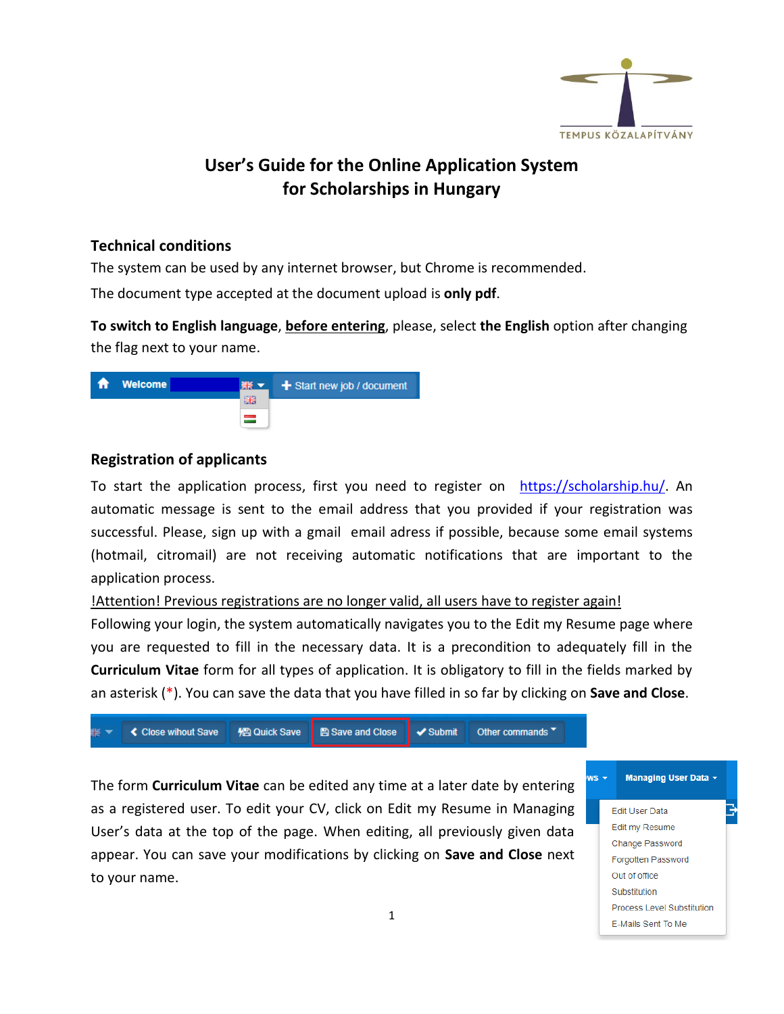

# **User's Guide for the Online Application System for Scholarships in Hungary**

### **Technical conditions**

The system can be used by any internet browser, but Chrome is recommended.

The document type accepted at the document upload is **only pdf**.

**To switch to English language**, **before entering**, please, select **the English** option after changing the flag next to your name.



## **Registration of applicants**

To start the application process, first you need to register on [https://scholarship.hu/.](https://scholarship.hu/) An automatic message is sent to the email address that you provided if your registration was successful. Please, sign up with a gmail email adress if possible, because some email systems (hotmail, citromail) are not receiving automatic notifications that are important to the application process.

## !Attention! Previous registrations are no longer valid, all users have to register again!

Following your login, the system automatically navigates you to the Edit my Resume page where you are requested to fill in the necessary data. It is a precondition to adequately fill in the **Curriculum Vitae** form for all types of application. It is obligatory to fill in the fields marked by an asterisk (\*). You can save the data that you have filled in so far by clicking on **Save and Close**.



The form **Curriculum Vitae** can be edited any time at a later date by entering as a registered user. To edit your CV, click on Edit my Resume in Managing User's data at the top of the page. When editing, all previously given data appear. You can save your modifications by clicking on **Save and Close** next to your name.



Edit User Data Edit my Resume Change Password Forgotten Password Out of office Substitution Process Level Substitution E-Mails Sent To Me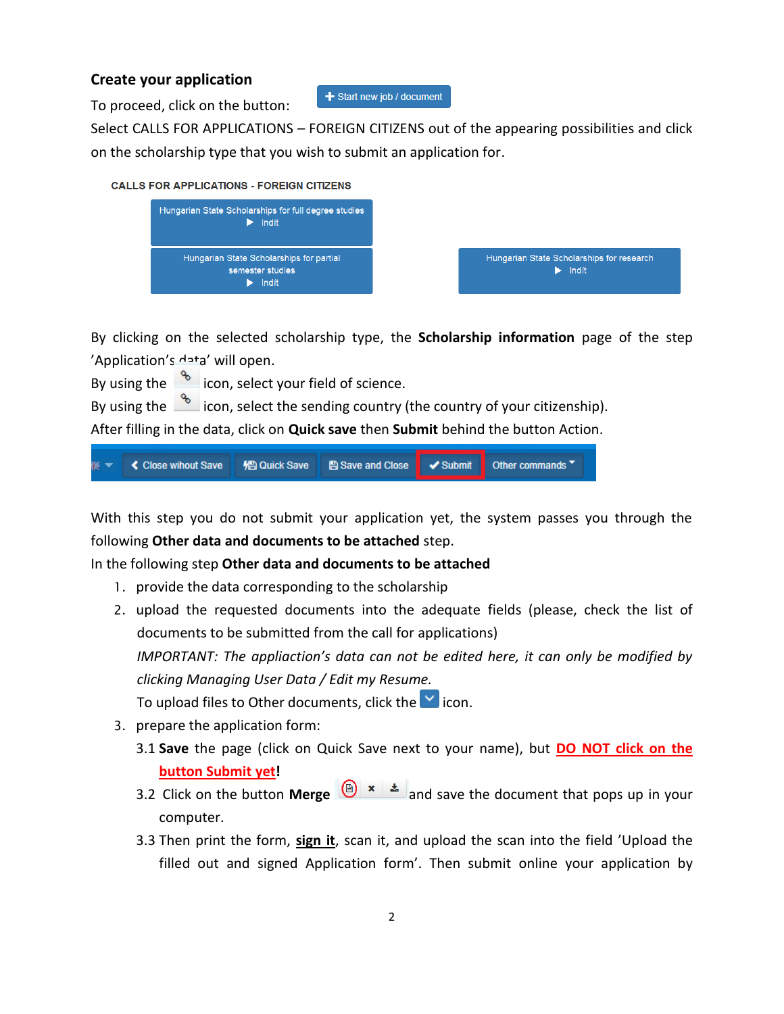## **Create your application**

To proceed, click on the button:

+ Start new job / document

Select CALLS FOR APPLICATIONS – FOREIGN CITIZENS out of the appearing possibilities and click on the scholarship type that you wish to submit an application for.





By clicking on the selected scholarship type, the **Scholarship information** page of the step 'Application's data' will open.

By using the  $\frac{1}{\sqrt{2}}$  icon, select your field of science.

By using the  $\frac{1}{\sqrt{2}}$  icon, select the sending country (the country of your citizenship).

After filling in the data, click on **Quick save** then **Submit** behind the button Action.



With this step you do not submit your application yet, the system passes you through the following **Other data and documents to be attached** step.

In the following step **Other data and documents to be attached**

- 1. provide the data corresponding to the scholarship
- 2. upload the requested documents into the adequate fields (please, check the list of documents to be submitted from the call for applications) *IMPORTANT: The appliaction's data can not be edited here, it can only be modified by clicking Managing User Data / Edit my Resume.* To upload files to Other documents, click the  $\blacksquare$  icon.
- 3. prepare the application form:
	- 3.1 **Save** the page (click on Quick Save next to your name), but **DO NOT click on the button Submit yet!**
	- 3.2 Click on the button **Merge**  $\left(\frac{a}{2}\right) \times \frac{1}{2}$  and save the document that pops up in your computer.
	- 3.3 Then print the form, **sign it**, scan it, and upload the scan into the field 'Upload the filled out and signed Application form'. Then submit online your application by